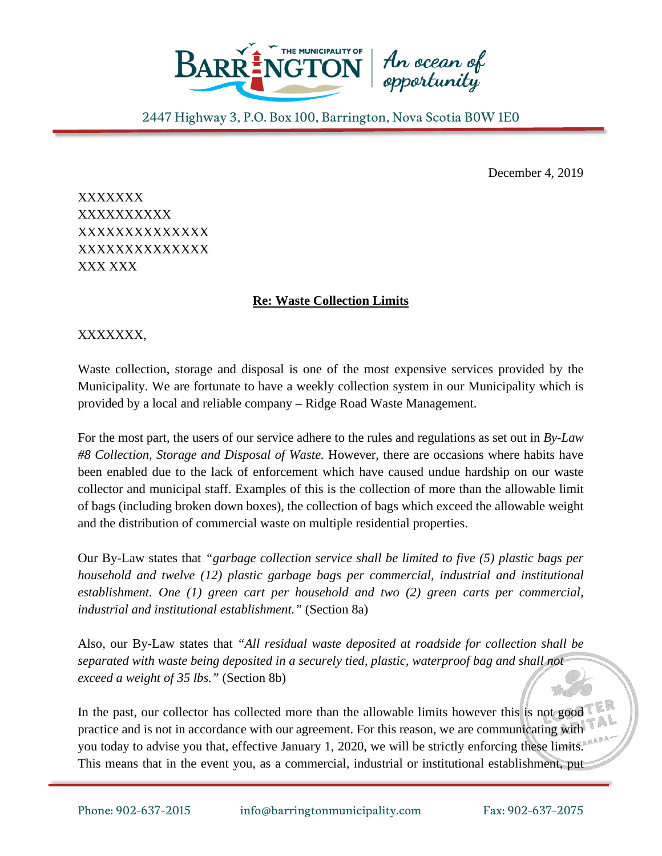

2447 Highway 3, P.O. Box 100, Barrington, Nova Scotia B0W 1E0

December 4, 2019

XXXXXXX XXXXXXXXXX XXXXXXXXXXXXXX XXXXXXXXXXXXXX XXX XXX

## **Re: Waste Collection Limits**

XXXXXXX,

Waste collection, storage and disposal is one of the most expensive services provided by the Municipality. We are fortunate to have a weekly collection system in our Municipality which is provided by a local and reliable company – Ridge Road Waste Management.

For the most part, the users of our service adhere to the rules and regulations as set out in *By-Law #8 Collection, Storage and Disposal of Waste.* However, there are occasions where habits have been enabled due to the lack of enforcement which have caused undue hardship on our waste collector and municipal staff. Examples of this is the collection of more than the allowable limit of bags (including broken down boxes), the collection of bags which exceed the allowable weight and the distribution of commercial waste on multiple residential properties.

Our By-Law states that *"garbage collection service shall be limited to five (5) plastic bags per household and twelve (12) plastic garbage bags per commercial, industrial and institutional establishment. One (1) green cart per household and two (2) green carts per commercial, industrial and institutional establishment."* (Section 8a)

Also, our By-Law states that *"All residual waste deposited at roadside for collection shall be separated with waste being deposited in a securely tied, plastic, waterproof bag and shall not exceed a weight of 35 lbs."* (Section 8b)

In the past, our collector has collected more than the allowable limits however this is not good practice and is not in accordance with our agreement. For this reason, we are communicating with you today to advise you that, effective January 1, 2020, we will be strictly enforcing these limits.<sup>888</sup> This means that in the event you, as a commercial, industrial or institutional establishment, put